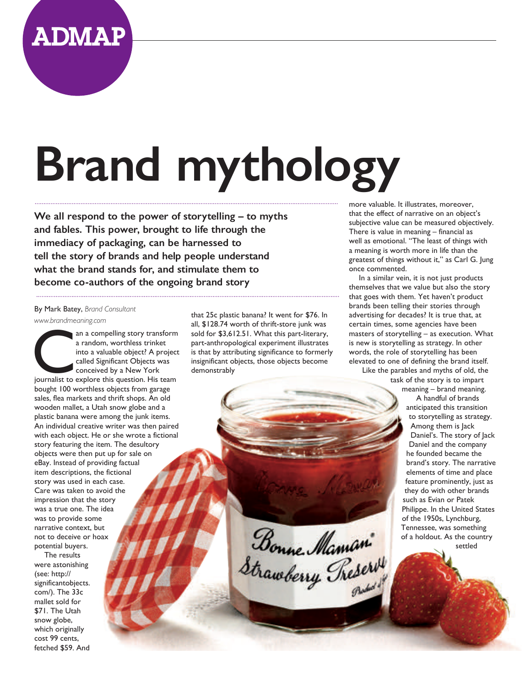

## **Brand mythology**

**We all respond to the power of storytelling – to myths and fables. This power, brought to life through the immediacy of packaging, can be harnessed to tell the story of brands and help people understand what the brand stands for, and stimulate them to become co-authors of the ongoing brand story**

By Mark Batey, *Brand Consultant www.brandmeaning.com*

a random, worthless trinket<br>
into a valuable object? A project<br>
called Significant Objects was<br>
conceived by a New York<br>
journalist to explore this question. His team a random, worthless trinket into a valuable object? A project called Significant Objects was conceived by a New York bought 100 worthless objects from garage sales, flea markets and thrift shops. An old wooden mallet, a Utah snow globe and a plastic banana were among the junk items. An individual creative writer was then paired with each object. He or she wrote a fictional story featuring the item. The desultory objects were then put up for sale on eBay. Instead of providing factual item descriptions, the fictional story was used in each case. Care was taken to avoid the impression that the story was a true one. The idea was to provide some narrative context, but not to deceive or hoax potential buyers.

The results were astonishing (see: http:// significantobjects. com/). The 33c mallet sold for \$71. The Utah snow globe, which originally cost 99 cents, fetched \$59. And

that 25c plastic banana? It went for \$76. In all, \$128.74 worth of thrift-store junk was sold for \$3,612.51. What this part-literary, part-anthropological experiment illustrates is that by attributing significance to formerly insignificant objects, those objects become demonstrably

more valuable. It illustrates, moreover, that the effect of narrative on an object's subjective value can be measured objectively. There is value in meaning – financial as well as emotional. "The least of things with a meaning is worth more in life than the greatest of things without it," as Carl G. Jung once commented.

In a similar vein, it is not just products themselves that we value but also the story that goes with them. Yet haven't product brands been telling their stories through advertising for decades? It is true that, at certain times, some agencies have been masters of storytelling – as execution. What is new is storytelling as strategy. In other words, the role of storytelling has been elevated to one of defining the brand itself. Like the parables and myths of old, the

> task of the story is to impart meaning – brand meaning. A handful of brands anticipated this transition to storytelling as strategy. Among them is Jack Daniel's. The story of Jack Daniel and the company he founded became the brand's story. The narrative elements of time and place feature prominently, just as they do with other brands such as Evian or Patek Philippe. In the United States of the 1950s, Lynchburg, Tennessee, was something of a holdout. As the country settled

Bonne Maman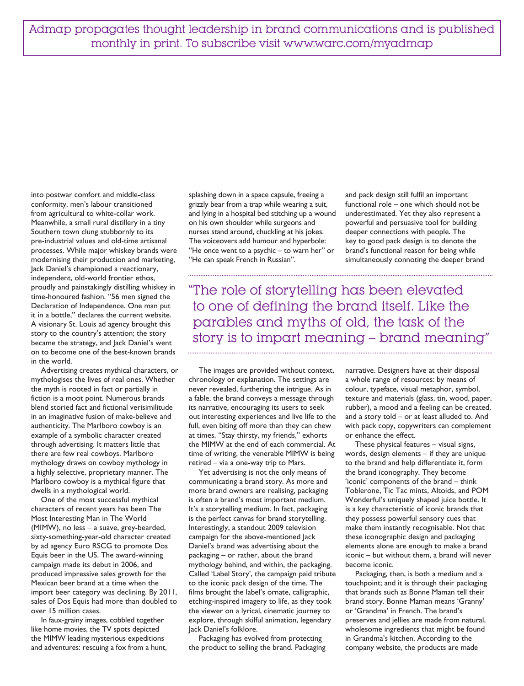Admap propagates thought leadership in brand communications and is published monthly in print. To subscribe visit www.warc.com/myadmap

into postwar comfort and middle-class conformity, men's labour transitioned from agricultural to white-collar work. Meanwhile, a small rural distillery in a tiny Southern town clung stubbornly to its pre-industrial values and old-time artisanal processes. While major whiskey brands were modernising their production and marketing, Jack Daniel's championed a reactionary, independent, old-world frontier ethos, proudly and painstakingly distilling whiskey in time-honoured fashion. "56 men signed the Declaration of Independence. One man put it in a bottle," declares the current website. A visionary St. Louis ad agency brought this story to the country's attention; the story became the strategy, and Jack Daniel's went on to become one of the best-known brands in the world.

Advertising creates mythical characters, or mythologises the lives of real ones. Whether the myth is rooted in fact or partially in fiction is a moot point. Numerous brands blend storied fact and fictional verisimilitude in an imaginative fusion of make-believe and authenticity. The Marlboro cowboy is an example of a symbolic character created through advertising. It matters little that there are few real cowboys. Marlboro mythology draws on cowboy mythology in a highly selective, proprietary manner. The Marlboro cowboy is a mythical figure that dwells in a mythological world.

One of the most successful mythical characters of recent years has been The Most Interesting Man in The World (MIMW), no less – a suave, grey-bearded, sixty-something-year-old character created by ad agency Euro RSCG to promote Dos Equis beer in the US. The award-winning campaign made its debut in 2006, and produced impressive sales growth for the Mexican beer brand at a time when the import beer category was declining. By 2011, sales of Dos Equis had more than doubled to over 15 million cases.

In faux-grainy images, cobbled together like home movies, the TV spots depicted the MIMW leading mysterious expeditions and adventures: rescuing a fox from a hunt, splashing down in a space capsule, freeing a grizzly bear from a trap while wearing a suit, and lying in a hospital bed stitching up a wound on his own shoulder while surgeons and nurses stand around, chuckling at his jokes. The voiceovers add humour and hyperbole: "He once went to a psychic – to warn her" or "He can speak French in Russian".

and pack design still fulfil an important functional role – one which should not be underestimated. Yet they also represent a powerful and persuasive tool for building deeper connections with people. The key to good pack design is to denote the brand's functional reason for being while simultaneously connoting the deeper brand

"The role of storytelling has been elevated to one of defining the brand itself. Like the parables and myths of old, the task of the story is to impart meaning – brand meaning"

The images are provided without context, chronology or explanation. The settings are never revealed, furthering the intrigue. As in a fable, the brand conveys a message through its narrative, encouraging its users to seek out interesting experiences and live life to the full, even biting off more than they can chew at times. "Stay thirsty, my friends," exhorts the MIMW at the end of each commercial. At time of writing, the venerable MIMW is being retired – via a one-way trip to Mars.

Yet advertising is not the only means of communicating a brand story. As more and more brand owners are realising, packaging is often a brand's most important medium. It's a storytelling medium. In fact, packaging is the perfect canvas for brand storytelling. Interestingly, a standout 2009 television campaign for the above-mentioned Jack Daniel's brand was advertising about the packaging – or rather, about the brand mythology behind, and within, the packaging. Called 'Label Story', the campaign paid tribute to the iconic pack design of the time. The films brought the label's ornate, calligraphic, etching-inspired imagery to life, as they took the viewer on a lyrical, cinematic journey to explore, through skilful animation, legendary Jack Daniel's folklore.

Packaging has evolved from protecting the product to selling the brand. Packaging narrative. Designers have at their disposal a whole range of resources: by means of colour, typeface, visual metaphor, symbol, texture and materials (glass, tin, wood, paper, rubber), a mood and a feeling can be created, and a story told – or at least alluded to. And with pack copy, copywriters can complement or enhance the effect.

These physical features – visual signs, words, design elements – if they are unique to the brand and help differentiate it, form the brand iconography. They become 'iconic' components of the brand – think Toblerone, Tic Tac mints, Altoids, and POM Wonderful's uniquely shaped juice bottle. It is a key characteristic of iconic brands that they possess powerful sensory cues that make them instantly recognisable. Not that these iconographic design and packaging elements alone are enough to make a brand iconic – but without them, a brand will never become iconic.

Packaging, then, is both a medium and a touchpoint; and it is through their packaging that brands such as Bonne Maman tell their brand story. Bonne Maman means 'Granny' or 'Grandma' in French. The brand's preserves and jellies are made from natural, wholesome ingredients that might be found in Grandma's kitchen. According to the company website, the products are made